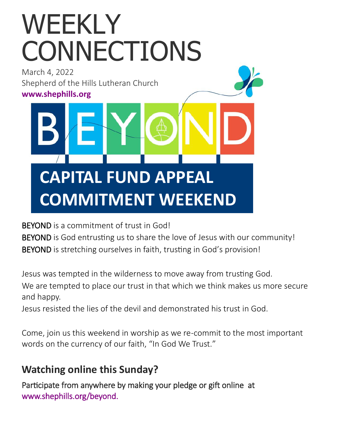# WEEKLY CONNECTIONS

March 4, 2022 Shepherd of the Hills Lutheran Church **[www.shephills.org](http://www.shephills.org)**

# **CAPITAL FUND APPEAL COMMITMENT WEEKEND**

BEYOND is a commitment of trust in God!

BEYOND is God entrusting us to share the love of Jesus with our community! BEYOND is stretching ourselves in faith, trusting in God's provision!

Jesus was tempted in the wilderness to move away from trusting God.

We are tempted to place our trust in that which we think makes us more secure and happy.

Jesus resisted the lies of the devil and demonstrated his trust in God.

Come, join us this weekend in worship as we re-commit to the most important words on the currency of our faith, "In God We Trust."

### **Watching online this Sunday?**

Participate from anywhere by making your pledge or gift online at [www.shephills.org/beyond.](https://shephills.org/beyond/)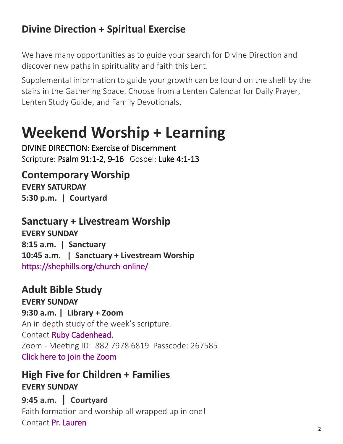# **Divine Direction + Spiritual Exercise**

We have many opportunities as to guide your search for Divine Direction and discover new paths in spirituality and faith this Lent.

Supplemental information to guide your growth can be found on the shelf by the stairs in the Gathering Space. Choose from a [Lenten Calendar for Daily Prayer,](https://elca.org/40Days) [Lenten Study Guide,](https://elca.org/40Days) and [Family Devotionals.](https://www.creativecommunications.com/Products/WH2/with-your-whole-heart.aspx?bCategory=CPLNT!CPDEV) 

# **Weekend Worship + Learning**

DIVINE DIRECTION: Exercise of Discernment Scripture: Psalm 91:1-2, 9-16 Gospel: Luke 4:1-13

**Contemporary Worship EVERY SATURDAY 5:30 p.m. | Courtyard** 

**Sanctuary + Livestream Worship**

**EVERY SUNDAY 8:15 a.m. | Sanctuary 10:45 a.m. | Sanctuary + Livestream Worship**  [https://shephills.org/church](https://shephills.org/church-online/)-online/

**Adult Bible Study EVERY SUNDAY 9:30 a.m. | Library + Zoom** An in depth study of the week's scripture. Contact [Ruby Cadenhead.](mailto:rubies61@gmail.com) Zoom - Meeting ID: 882 7978 6819 Passcode: 267585 [Click here to join the Zoom](https://us02web.zoom.us/j/88279786819?pwd=Uytzc1NsT0xCWlM5dnVCMlBFZ1djUT09) 

**High Five for Children + Families EVERY SUNDAY**

**9:45 a.m. | Courtyard**  Faith formation and worship all wrapped up in one! Contact [Pr. Lauren](mailto:lauren@shephills.org)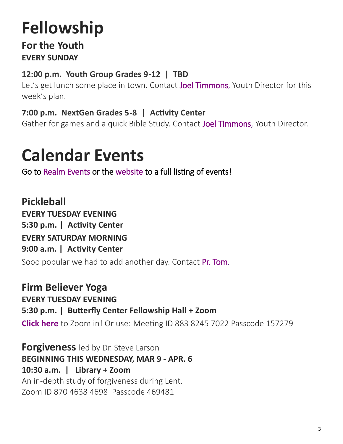# **Fellowship**

#### **For the Youth EVERY SUNDAY**

#### **12:00 p.m. Youth Group Grades 9-12 | TBD**

Let's get lunch some place in town. Contact [Joel Timmons,](mailto:joel@shephills.org) Youth Director for this week's plan.

#### **7:00 p.m. NextGen Grades 5-8 | Activity Center**

Gather for games and a quick Bible Study. Contact [Joel Timmons,](mailto:joel@shephills.org) Youth Director.

# **Calendar Events**

Go to [Realm Events o](http://onrealm.org/shephills)r the [website t](http://www.shephills.org)o a full listing of events!

**Pickleball EVERY TUESDAY EVENING 5:30 p.m. | Activity Center EVERY SATURDAY MORNING 9:00 a.m. | Activity Center** Sooo popular we had to add another day. Contact [Pr. Tom.](mailto:tom@shephills.org)

**Firm Believer Yoga EVERY TUESDAY EVENING 5:30 p.m. | Butterfly Center Fellowship Hall + Zoom [Click here](https://us02web.zoom.us/j/88382457022?pwd=NEtNVjlCcWkxQVV3OUR4eVlsNzkxdz09)** to Zoom in! Or use: Meeting ID 883 8245 7022 Passcode 157279

**Forgiveness** led by Dr. Steve Larson **BEGINNING THIS WEDNESDAY, MAR 9 - APR. 6 10:30 a.m. | Library + Zoom** An in-depth study of forgiveness during Lent. Zoom ID 870 4638 4698 Passcode 469481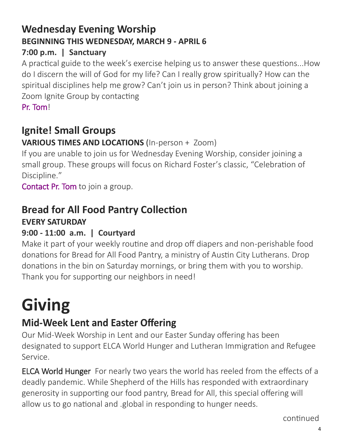# **Wednesday Evening Worship BEGINNING THIS WEDNESDAY, MARCH 9 - APRIL 6**

#### **7:00 p.m. | Sanctuary**

A practical guide to the week's exercise helping us to answer these questions...How do I discern the will of God for my life? Can I really grow spiritually? How can the spiritual disciplines help me grow? Can't join us in person? Think about joining a Zoom Ignite Group by contacting

[Pr. Tom!](mailto:tom@shephills.org)

# **Ignite! Small Groups**

#### **VARIOUS TIMES AND LOCATIONS** (In-person + Zoom)

If you are unable to join us for Wednesday Evening Worship, consider joining a small group. These groups will focus on Richard Foster's classic, "Celebration of Discipline."

[Contact Pr. Tom t](mailto:tom@shephills.org)o join a group.

# **Bread for All Food Pantry Collection**

#### **EVERY SATURDAY**

#### **9:00 - 11:00 a.m. | Courtyard**

Make it part of your weekly routine and drop off diapers and non-perishable food donations for Bread for All Food Pantry, a ministry of Austin City Lutherans. Drop donations in the bin on Saturday mornings, or bring them with you to worship. Thank you for supporting our neighbors in need!

# **Giving**

# **Mid-Week Lent and Easter Offering**

Our Mid-Week Worship in Lent and our Easter Sunday offering has been designated to support ELCA World Hunger and Lutheran Immigration and Refugee Service.

ELCA World Hunger For nearly two years the world has reeled from the effects of a deadly pandemic. While Shepherd of the Hills has responded with extraordinary generosity in supporting our food pantry, Bread for All, this special offering will allow us to go national and .global in responding to hunger needs.

continued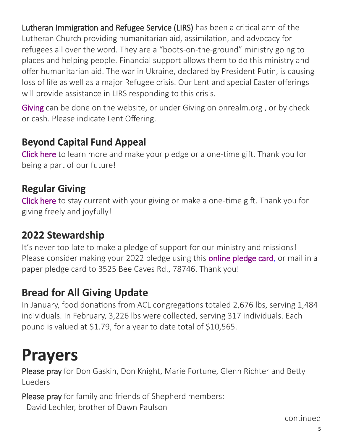Lutheran Immigration and Refugee Service (LIRS) has been a critical arm of the Lutheran Church providing humanitarian aid, assimilation, and advocacy for refugees all over the word. They are a "boots-on-the-ground" ministry going to places and helping people. Financial support allows them to do this ministry and offer humanitarian aid. The war in Ukraine, declared by President Putin, is causing loss of life as well as a major Refugee crisis. Our Lent and special Easter offerings will provide assistance in LIRS responding to this crisis.

[Giving c](http://www.shephills.org/give/)an be done on the website, or under Giving on onrealm.org, or by check or cash. Please indicate Lent Offering.

### **Beyond Capital Fund Appeal**

[Click here](https://shephills.org/beyond/) to learn more and make your pledge or a one-time gift. Thank you for being a part of our future!

### **Regular Giving**

[Click here](https://shephills.org/give/) to stay current with your giving or make a one-time gift. Thank you for giving freely and joyfully!

### **2022 Stewardship**

It's never too late to make a pledge of support for our ministry and missions! Please consider making your 2022 pledge using this **online pledge card**, or mail in a paper pledge card to 3525 Bee Caves Rd., 78746. Thank you!

### **Bread for All Giving Update**

In January, food donations from ACL congregations totaled 2,676 lbs, serving 1,484 individuals. In February, 3,226 lbs were collected, serving 317 individuals. Each pound is valued at \$1.79, for a year to date total of \$10,565.

# **Prayers**

Please pray for Don Gaskin, Don Knight, Marie Fortune, Glenn Richter and Betty Lueders

Please pray for family and friends of Shepherd members: David Lechler, brother of Dawn Paulson

continued